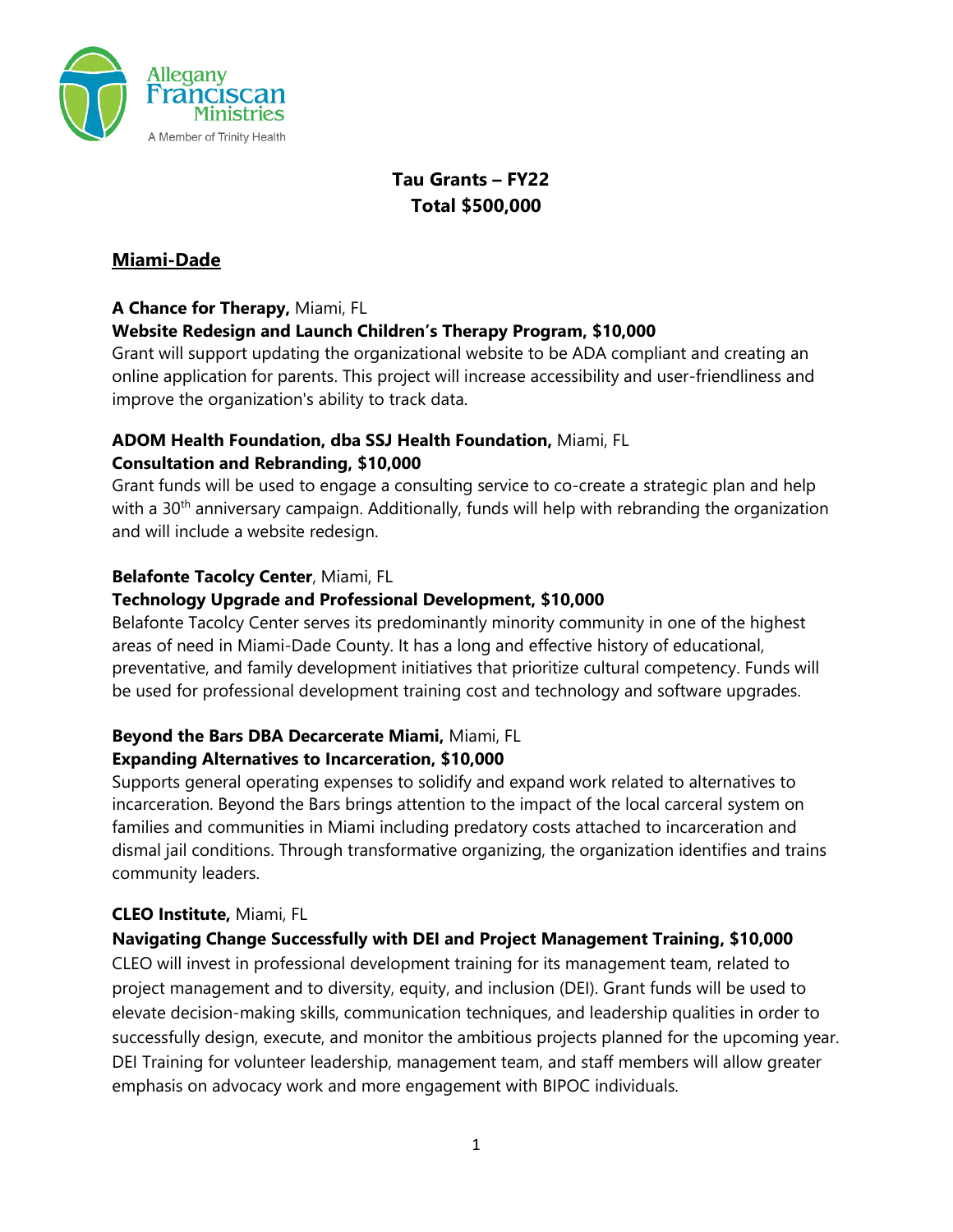

# **Tau Grants – FY22 Total \$500,000**

# **Miami-Dade**

#### **A Chance for Therapy,** Miami, FL

### **Website Redesign and Launch Children's Therapy Program, \$10,000**

Grant will support updating the organizational website to be ADA compliant and creating an online application for parents. This project will increase accessibility and user-friendliness and improve the organization's ability to track data.

#### **ADOM Health Foundation, dba SSJ Health Foundation,** Miami, FL **Consultation and Rebranding, \$10,000**

Grant funds will be used to engage a consulting service to co-create a strategic plan and help with a 30<sup>th</sup> anniversary campaign. Additionally, funds will help with rebranding the organization and will include a website redesign.

### **Belafonte Tacolcy Center**, Miami, FL

### **Technology Upgrade and Professional Development, \$10,000**

Belafonte Tacolcy Center serves its predominantly minority community in one of the highest areas of need in Miami-Dade County. It has a long and effective history of educational, preventative, and family development initiatives that prioritize cultural competency. Funds will be used for professional development training cost and technology and software upgrades.

# **Beyond the Bars DBA Decarcerate Miami,** Miami, FL

#### **Expanding Alternatives to Incarceration, \$10,000**

Supports general operating expenses to solidify and expand work related to alternatives to incarceration. Beyond the Bars brings attention to the impact of the local carceral system on families and communities in Miami including predatory costs attached to incarceration and dismal jail conditions. Through transformative organizing, the organization identifies and trains community leaders.

# **CLEO Institute,** Miami, FL

# **Navigating Change Successfully with DEI and Project Management Training, \$10,000**

CLEO will invest in professional development training for its management team, related to project management and to diversity, equity, and inclusion (DEI). Grant funds will be used to elevate decision-making skills, communication techniques, and leadership qualities in order to successfully design, execute, and monitor the ambitious projects planned for the upcoming year. DEI Training for volunteer leadership, management team, and staff members will allow greater emphasis on advocacy work and more engagement with BIPOC individuals.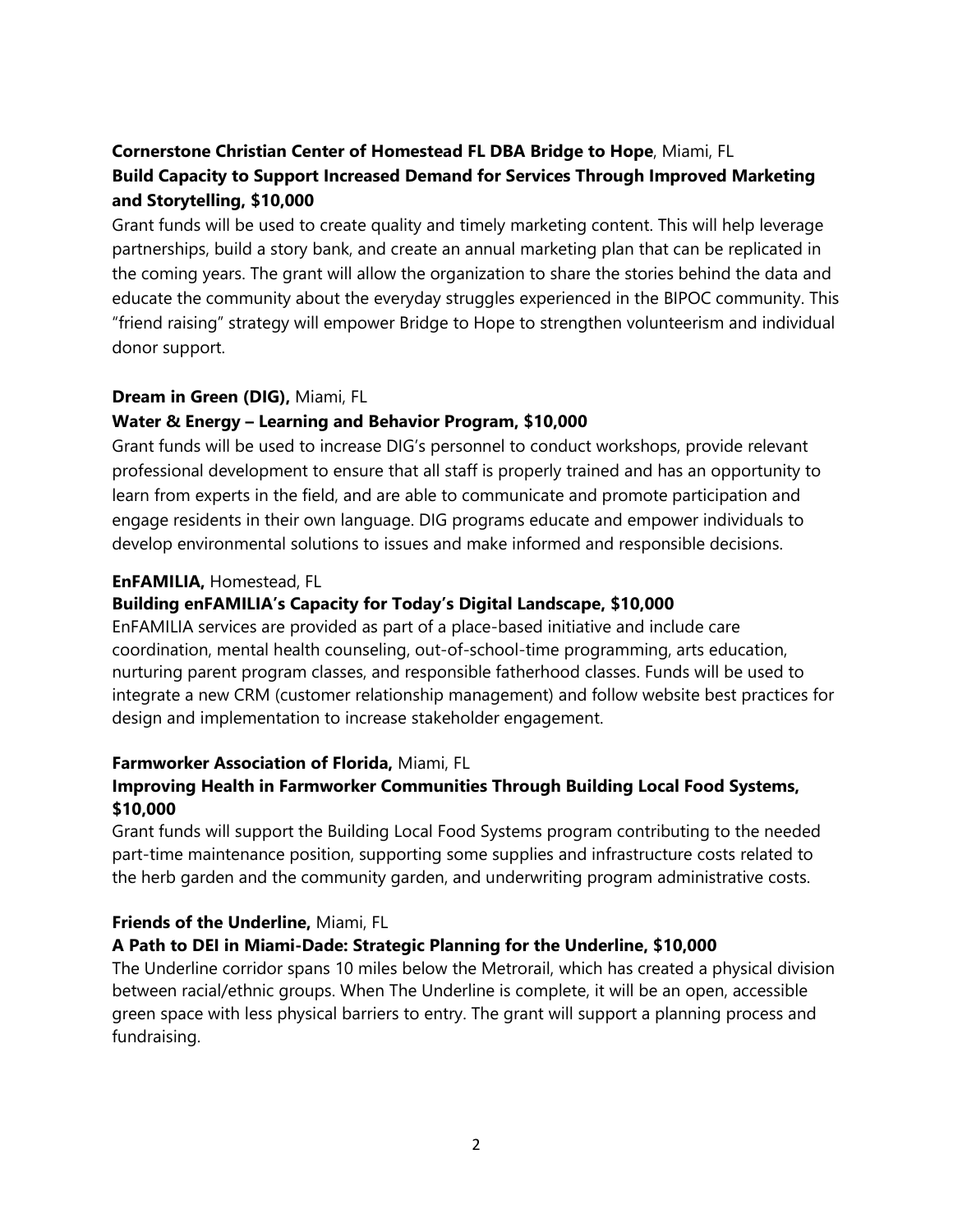# **Cornerstone Christian Center of Homestead FL DBA Bridge to Hope**, Miami, FL **Build Capacity to Support Increased Demand for Services Through Improved Marketing and Storytelling, \$10,000**

Grant funds will be used to create quality and timely marketing content. This will help leverage partnerships, build a story bank, and create an annual marketing plan that can be replicated in the coming years. The grant will allow the organization to share the stories behind the data and educate the community about the everyday struggles experienced in the BIPOC community. This "friend raising" strategy will empower Bridge to Hope to strengthen volunteerism and individual donor support.

#### **Dream in Green (DIG),** Miami, FL

# **Water & Energy – Learning and Behavior Program, \$10,000**

Grant funds will be used to increase DIG's personnel to conduct workshops, provide relevant professional development to ensure that all staff is properly trained and has an opportunity to learn from experts in the field, and are able to communicate and promote participation and engage residents in their own language. DIG programs educate and empower individuals to develop environmental solutions to issues and make informed and responsible decisions.

### **EnFAMILIA,** Homestead, FL

# **Building enFAMILIA's Capacity for Today's Digital Landscape, \$10,000**

EnFAMILIA services are provided as part of a place-based initiative and include care coordination, mental health counseling, out-of-school-time programming, arts education, nurturing parent program classes, and responsible fatherhood classes. Funds will be used to integrate a new CRM (customer relationship management) and follow website best practices for design and implementation to increase stakeholder engagement.

#### **Farmworker Association of Florida,** Miami, FL

### **Improving Health in Farmworker Communities Through Building Local Food Systems, \$10,000**

Grant funds will support the Building Local Food Systems program contributing to the needed part-time maintenance position, supporting some supplies and infrastructure costs related to the herb garden and the community garden, and underwriting program administrative costs.

# **Friends of the Underline,** Miami, FL

#### **A Path to DEI in Miami-Dade: Strategic Planning for the Underline, \$10,000**

The Underline corridor spans 10 miles below the Metrorail, which has created a physical division between racial/ethnic groups. When The Underline is complete, it will be an open, accessible green space with less physical barriers to entry. The grant will support a planning process and fundraising.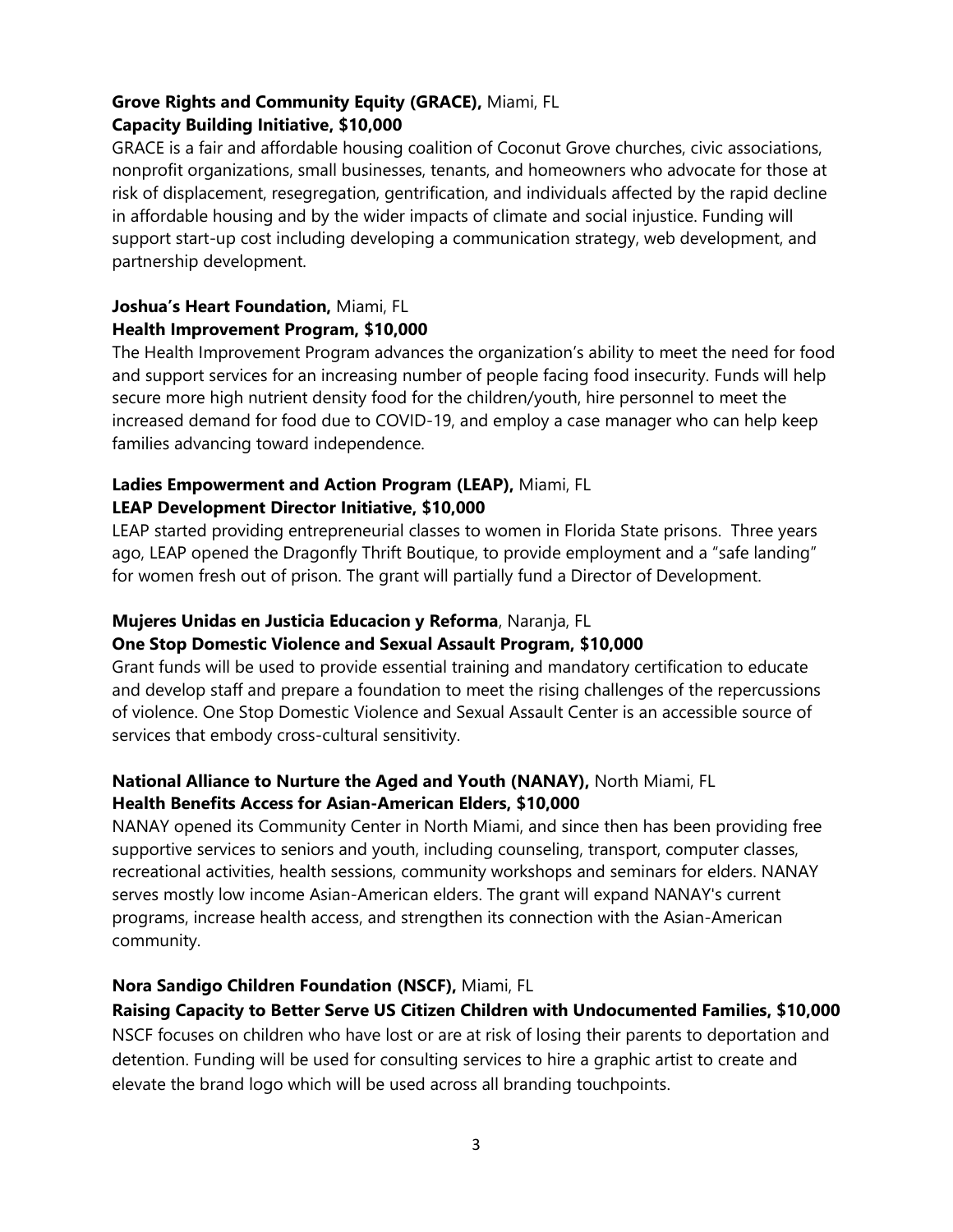# **Grove Rights and Community Equity (GRACE),** Miami, FL **Capacity Building Initiative, \$10,000**

GRACE is a fair and affordable housing coalition of Coconut Grove churches, civic associations, nonprofit organizations, small businesses, tenants, and homeowners who advocate for those at risk of displacement, resegregation, gentrification, and individuals affected by the rapid decline in affordable housing and by the wider impacts of climate and social injustice. Funding will support start-up cost including developing a communication strategy, web development, and partnership development.

#### **Joshua's Heart Foundation,** Miami, FL **Health Improvement Program, \$10,000**

The Health Improvement Program advances the organization's ability to meet the need for food and support services for an increasing number of people facing food insecurity. Funds will help secure more high nutrient density food for the children/youth, hire personnel to meet the

increased demand for food due to COVID-19, and employ a case manager who can help keep families advancing toward independence.

# **Ladies Empowerment and Action Program (LEAP),** Miami, FL **LEAP Development Director Initiative, \$10,000**

LEAP started providing entrepreneurial classes to women in Florida State prisons. Three years ago, LEAP opened the Dragonfly Thrift Boutique, to provide employment and a "safe landing" for women fresh out of prison. The grant will partially fund a Director of Development.

### **Mujeres Unidas en Justicia Educacion y Reforma**, Naranja, FL **One Stop Domestic Violence and Sexual Assault Program, \$10,000**

Grant funds will be used to provide essential training and mandatory certification to educate and develop staff and prepare a foundation to meet the rising challenges of the repercussions of violence. One Stop Domestic Violence and Sexual Assault Center is an accessible source of services that embody cross-cultural sensitivity.

# **National Alliance to Nurture the Aged and Youth (NANAY),** North Miami, FL **Health Benefits Access for Asian-American Elders, \$10,000**

NANAY opened its Community Center in North Miami, and since then has been providing free supportive services to seniors and youth, including counseling, transport, computer classes, recreational activities, health sessions, community workshops and seminars for elders. NANAY serves mostly low income Asian-American elders. The grant will expand NANAY's current programs, increase health access, and strengthen its connection with the Asian-American community.

# **Nora Sandigo Children Foundation (NSCF),** Miami, FL

**Raising Capacity to Better Serve US Citizen Children with Undocumented Families, \$10,000**

NSCF focuses on children who have lost or are at risk of losing their parents to deportation and detention. Funding will be used for consulting services to hire a graphic artist to create and elevate the brand logo which will be used across all branding touchpoints.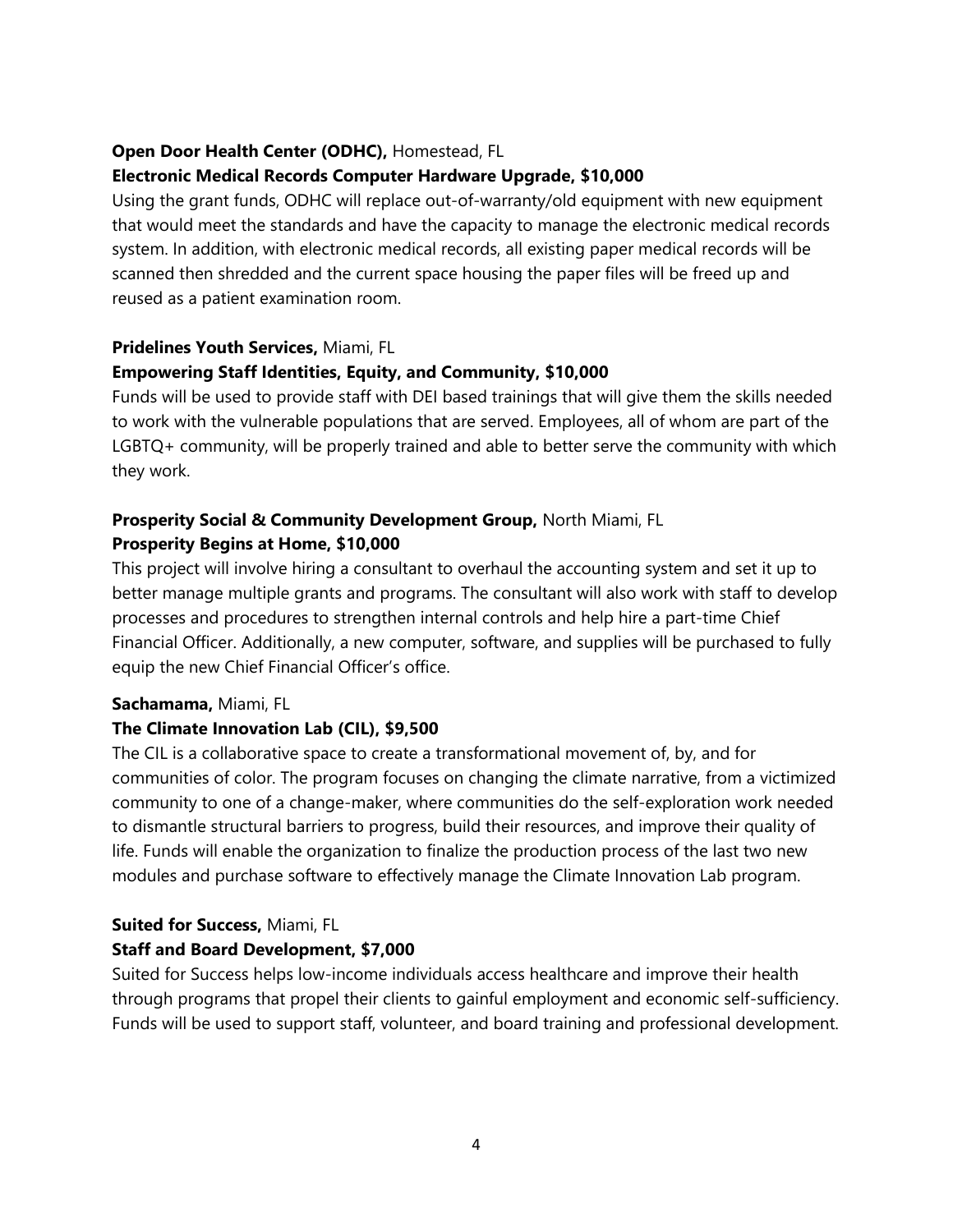### **Open Door Health Center (ODHC),** Homestead, FL

### **Electronic Medical Records Computer Hardware Upgrade, \$10,000**

Using the grant funds, ODHC will replace out-of-warranty/old equipment with new equipment that would meet the standards and have the capacity to manage the electronic medical records system. In addition, with electronic medical records, all existing paper medical records will be scanned then shredded and the current space housing the paper files will be freed up and reused as a patient examination room.

#### **Pridelines Youth Services,** Miami, FL

### **Empowering Staff Identities, Equity, and Community, \$10,000**

Funds will be used to provide staff with DEI based trainings that will give them the skills needed to work with the vulnerable populations that are served. Employees, all of whom are part of the LGBTQ+ community, will be properly trained and able to better serve the community with which they work.

# **Prosperity Social & Community Development Group,** North Miami, FL **Prosperity Begins at Home, \$10,000**

This project will involve hiring a consultant to overhaul the accounting system and set it up to better manage multiple grants and programs. The consultant will also work with staff to develop processes and procedures to strengthen internal controls and help hire a part-time Chief Financial Officer. Additionally, a new computer, software, and supplies will be purchased to fully equip the new Chief Financial Officer's office.

#### **Sachamama,** Miami, FL

#### **The Climate Innovation Lab (CIL), \$9,500**

The CIL is a collaborative space to create a transformational movement of, by, and for communities of color. The program focuses on changing the climate narrative, from a victimized community to one of a change-maker, where communities do the self-exploration work needed to dismantle structural barriers to progress, build their resources, and improve their quality of life. Funds will enable the organization to finalize the production process of the last two new modules and purchase software to effectively manage the Climate Innovation Lab program.

# **Suited for Success,** Miami, FL

# **Staff and Board Development, \$7,000**

Suited for Success helps low-income individuals access healthcare and improve their health through programs that propel their clients to gainful employment and economic self-sufficiency. Funds will be used to support staff, volunteer, and board training and professional development.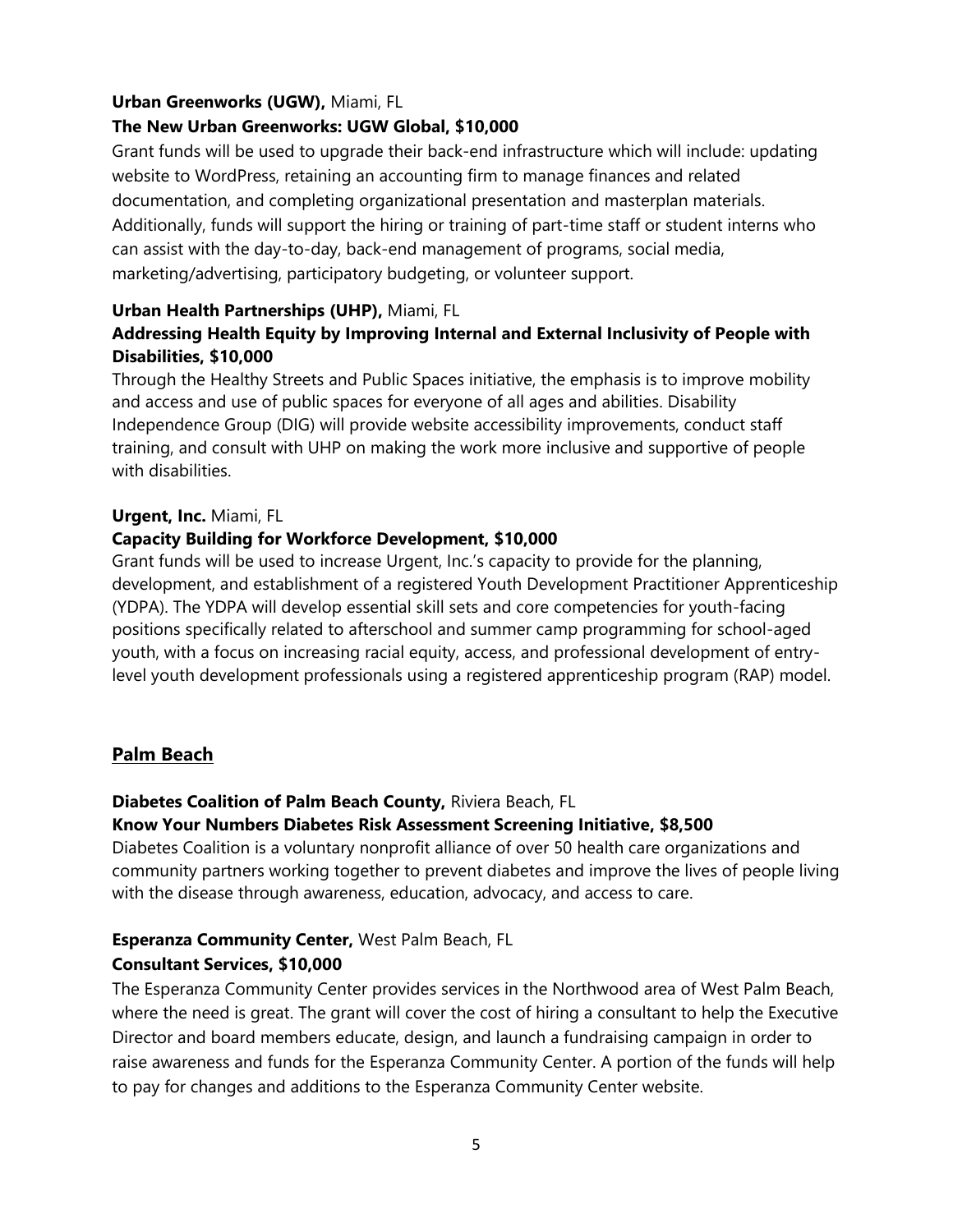#### **Urban Greenworks (UGW),** Miami, FL

### **The New Urban Greenworks: UGW Global, \$10,000**

Grant funds will be used to upgrade their back-end infrastructure which will include: updating website to WordPress, retaining an accounting firm to manage finances and related documentation, and completing organizational presentation and masterplan materials. Additionally, funds will support the hiring or training of part-time staff or student interns who can assist with the day-to-day, back-end management of programs, social media, marketing/advertising, participatory budgeting, or volunteer support.

#### **Urban Health Partnerships (UHP),** Miami, FL

# **Addressing Health Equity by Improving Internal and External Inclusivity of People with Disabilities, \$10,000**

Through the Healthy Streets and Public Spaces initiative, the emphasis is to improve mobility and access and use of public spaces for everyone of all ages and abilities. Disability Independence Group (DIG) will provide website accessibility improvements, conduct staff training, and consult with UHP on making the work more inclusive and supportive of people with disabilities.

#### **Urgent, Inc.** Miami, FL

### **Capacity Building for Workforce Development, \$10,000**

Grant funds will be used to increase Urgent, Inc.'s capacity to provide for the planning, development, and establishment of a registered Youth Development Practitioner Apprenticeship (YDPA). The YDPA will develop essential skill sets and core competencies for youth-facing positions specifically related to afterschool and summer camp programming for school-aged youth, with a focus on increasing racial equity, access, and professional development of entrylevel youth development professionals using a registered apprenticeship program (RAP) model.

# **Palm Beach**

#### **Diabetes Coalition of Palm Beach County,** Riviera Beach, FL

#### **Know Your Numbers Diabetes Risk Assessment Screening Initiative, \$8,500**

Diabetes Coalition is a voluntary nonprofit alliance of over 50 health care organizations and community partners working together to prevent diabetes and improve the lives of people living with the disease through awareness, education, advocacy, and access to care.

# **Esperanza Community Center,** West Palm Beach, FL

#### **Consultant Services, \$10,000**

The Esperanza Community Center provides services in the Northwood area of West Palm Beach, where the need is great. The grant will cover the cost of hiring a consultant to help the Executive Director and board members educate, design, and launch a fundraising campaign in order to raise awareness and funds for the Esperanza Community Center. A portion of the funds will help to pay for changes and additions to the Esperanza Community Center website.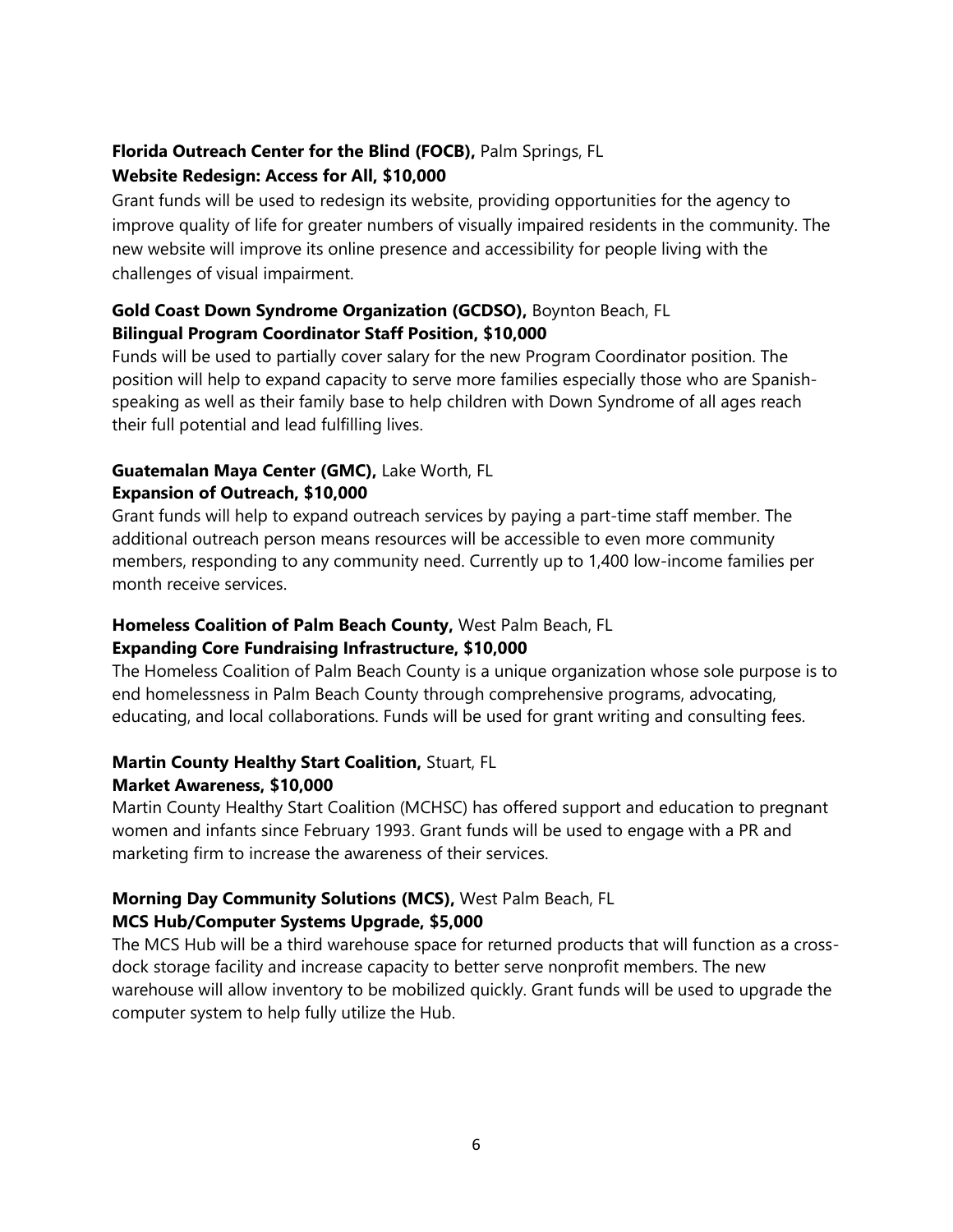#### **Florida Outreach Center for the Blind (FOCB),** Palm Springs, FL **Website Redesign: Access for All, \$10,000**

Grant funds will be used to redesign its website, providing opportunities for the agency to improve quality of life for greater numbers of visually impaired residents in the community. The new website will improve its online presence and accessibility for people living with the challenges of visual impairment.

#### **Gold Coast Down Syndrome Organization (GCDSO),** Boynton Beach, FL **Bilingual Program Coordinator Staff Position, \$10,000**

Funds will be used to partially cover salary for the new Program Coordinator position. The position will help to expand capacity to serve more families especially those who are Spanishspeaking as well as their family base to help children with Down Syndrome of all ages reach their full potential and lead fulfilling lives.

#### **Guatemalan Maya Center (GMC),** Lake Worth, FL **Expansion of Outreach, \$10,000**

Grant funds will help to expand outreach services by paying a part-time staff member. The additional outreach person means resources will be accessible to even more community members, responding to any community need. Currently up to 1,400 low-income families per month receive services.

# **Homeless Coalition of Palm Beach County,** West Palm Beach, FL

# **Expanding Core Fundraising Infrastructure, \$10,000**

The Homeless Coalition of Palm Beach County is a unique organization whose sole purpose is to end homelessness in Palm Beach County through comprehensive programs, advocating, educating, and local collaborations. Funds will be used for grant writing and consulting fees.

# **Martin County Healthy Start Coalition,** Stuart, FL

#### **Market Awareness, \$10,000**

Martin County Healthy Start Coalition (MCHSC) has offered support and education to pregnant women and infants since February 1993. Grant funds will be used to engage with a PR and marketing firm to increase the awareness of their services.

#### **Morning Day Community Solutions (MCS),** West Palm Beach, FL **MCS Hub/Computer Systems Upgrade, \$5,000**

The MCS Hub will be a third warehouse space for returned products that will function as a crossdock storage facility and increase capacity to better serve nonprofit members. The new warehouse will allow inventory to be mobilized quickly. Grant funds will be used to upgrade the computer system to help fully utilize the Hub.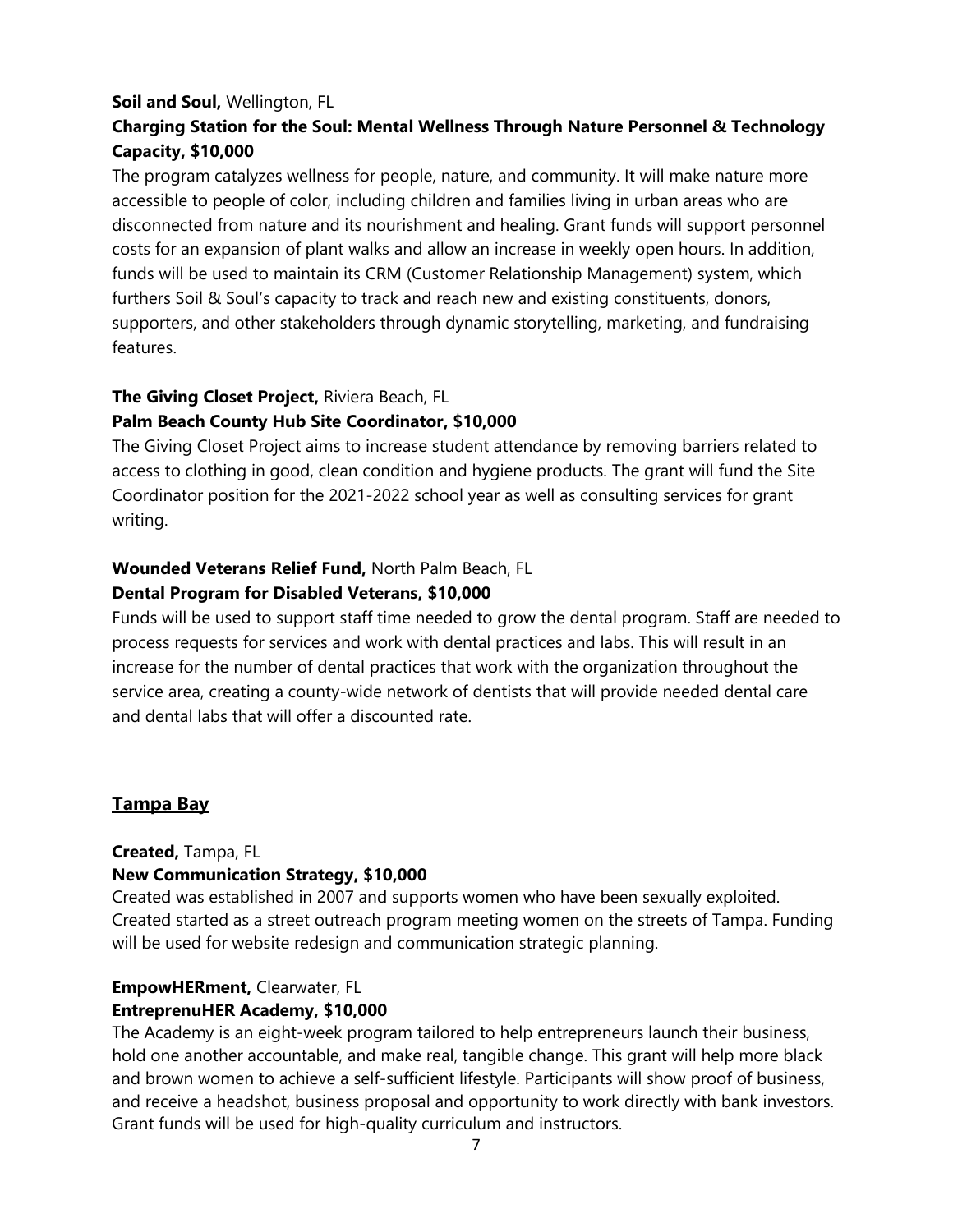#### **Soil and Soul,** Wellington, FL

# **Charging Station for the Soul: Mental Wellness Through Nature Personnel & Technology Capacity, \$10,000**

The program catalyzes wellness for people, nature, and community. It will make nature more accessible to people of color, including children and families living in urban areas who are disconnected from nature and its nourishment and healing. Grant funds will support personnel costs for an expansion of plant walks and allow an increase in weekly open hours. In addition, funds will be used to maintain its CRM (Customer Relationship Management) system, which furthers Soil & Soul's capacity to track and reach new and existing constituents, donors, supporters, and other stakeholders through dynamic storytelling, marketing, and fundraising features.

#### **The Giving Closet Project,** Riviera Beach, FL

#### **Palm Beach County Hub Site Coordinator, \$10,000**

The Giving Closet Project aims to increase student attendance by removing barriers related to access to clothing in good, clean condition and hygiene products. The grant will fund the Site Coordinator position for the 2021-2022 school year as well as consulting services for grant writing.

#### **Wounded Veterans Relief Fund,** North Palm Beach, FL

#### **Dental Program for Disabled Veterans, \$10,000**

Funds will be used to support staff time needed to grow the dental program. Staff are needed to process requests for services and work with dental practices and labs. This will result in an increase for the number of dental practices that work with the organization throughout the service area, creating a county-wide network of dentists that will provide needed dental care and dental labs that will offer a discounted rate.

#### **Tampa Bay**

#### **Created,** Tampa, FL

#### **New Communication Strategy, \$10,000**

Created was established in 2007 and supports women who have been sexually exploited. Created started as a street outreach program meeting women on the streets of Tampa. Funding will be used for website redesign and communication strategic planning.

#### **EmpowHERment,** Clearwater, FL **EntreprenuHER Academy, \$10,000**

The Academy is an eight-week program tailored to help entrepreneurs launch their business, hold one another accountable, and make real, tangible change. This grant will help more black and brown women to achieve a self-sufficient lifestyle. Participants will show proof of business, and receive a headshot, business proposal and opportunity to work directly with bank investors. Grant funds will be used for high-quality curriculum and instructors.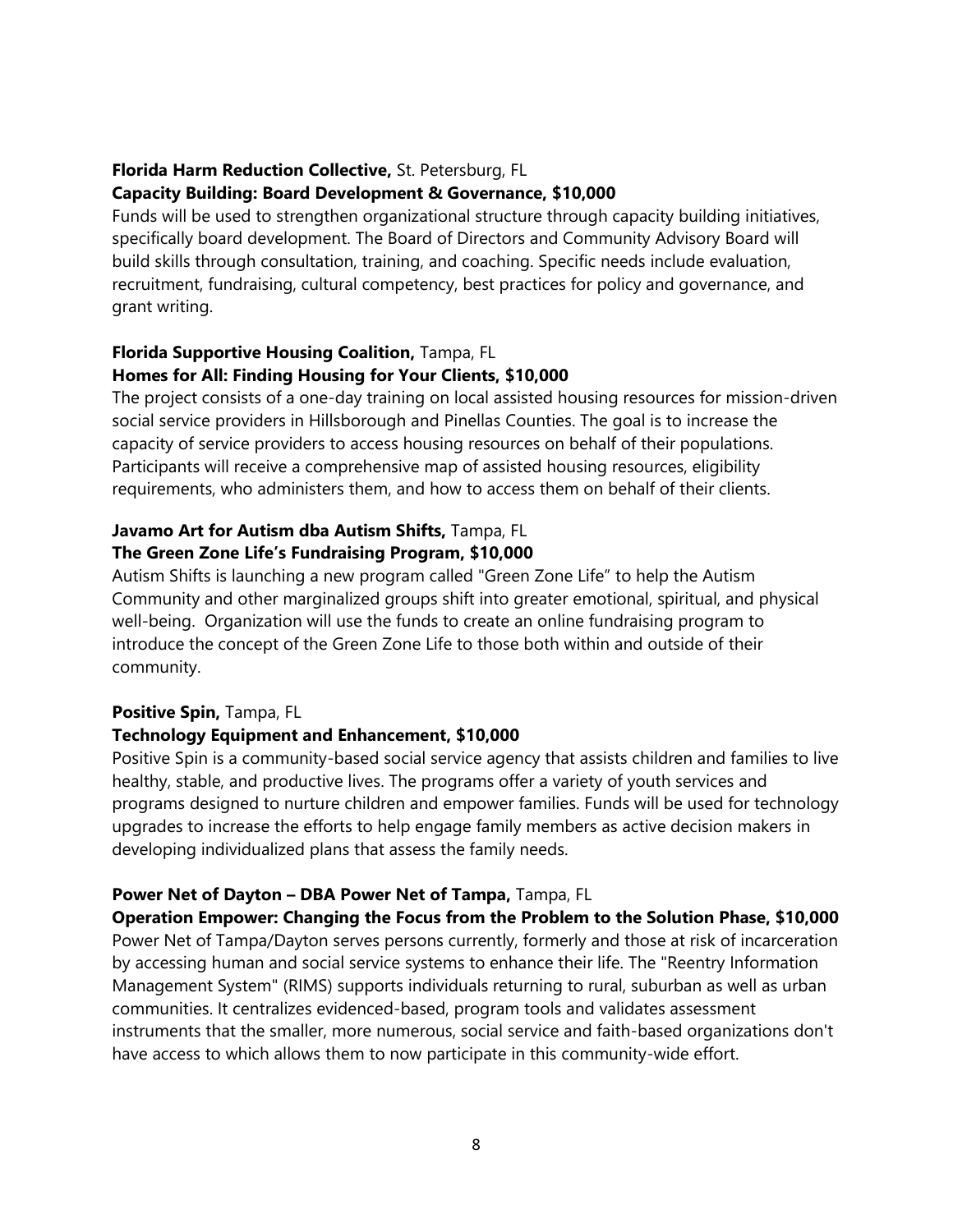#### **Florida Harm Reduction Collective,** St. Petersburg, FL

#### **Capacity Building: Board Development & Governance, \$10,000**

Funds will be used to strengthen organizational structure through capacity building initiatives, specifically board development. The Board of Directors and Community Advisory Board will build skills through consultation, training, and coaching. Specific needs include evaluation, recruitment, fundraising, cultural competency, best practices for policy and governance, and grant writing.

#### **Florida Supportive Housing Coalition,** Tampa, FL **Homes for All: Finding Housing for Your Clients, \$10,000**

The project consists of a one-day training on local assisted housing resources for mission-driven social service providers in Hillsborough and Pinellas Counties. The goal is to increase the capacity of service providers to access housing resources on behalf of their populations. Participants will receive a comprehensive map of assisted housing resources, eligibility requirements, who administers them, and how to access them on behalf of their clients.

#### **Javamo Art for Autism dba Autism Shifts,** Tampa, FL **The Green Zone Life's Fundraising Program, \$10,000**

Autism Shifts is launching a new program called "Green Zone Life" to help the Autism Community and other marginalized groups shift into greater emotional, spiritual, and physical well-being. Organization will use the funds to create an online fundraising program to introduce the concept of the Green Zone Life to those both within and outside of their community.

#### **Positive Spin,** Tampa, FL

#### **Technology Equipment and Enhancement, \$10,000**

Positive Spin is a community-based social service agency that assists children and families to live healthy, stable, and productive lives. The programs offer a variety of youth services and programs designed to nurture children and empower families. Funds will be used for technology upgrades to increase the efforts to help engage family members as active decision makers in developing individualized plans that assess the family needs.

#### **Power Net of Dayton – DBA Power Net of Tampa,** Tampa, FL

**Operation Empower: Changing the Focus from the Problem to the Solution Phase, \$10,000** Power Net of Tampa/Dayton serves persons currently, formerly and those at risk of incarceration by accessing human and social service systems to enhance their life. The "Reentry Information Management System" (RIMS) supports individuals returning to rural, suburban as well as urban communities. It centralizes evidenced-based, program tools and validates assessment instruments that the smaller, more numerous, social service and faith-based organizations don't have access to which allows them to now participate in this community-wide effort.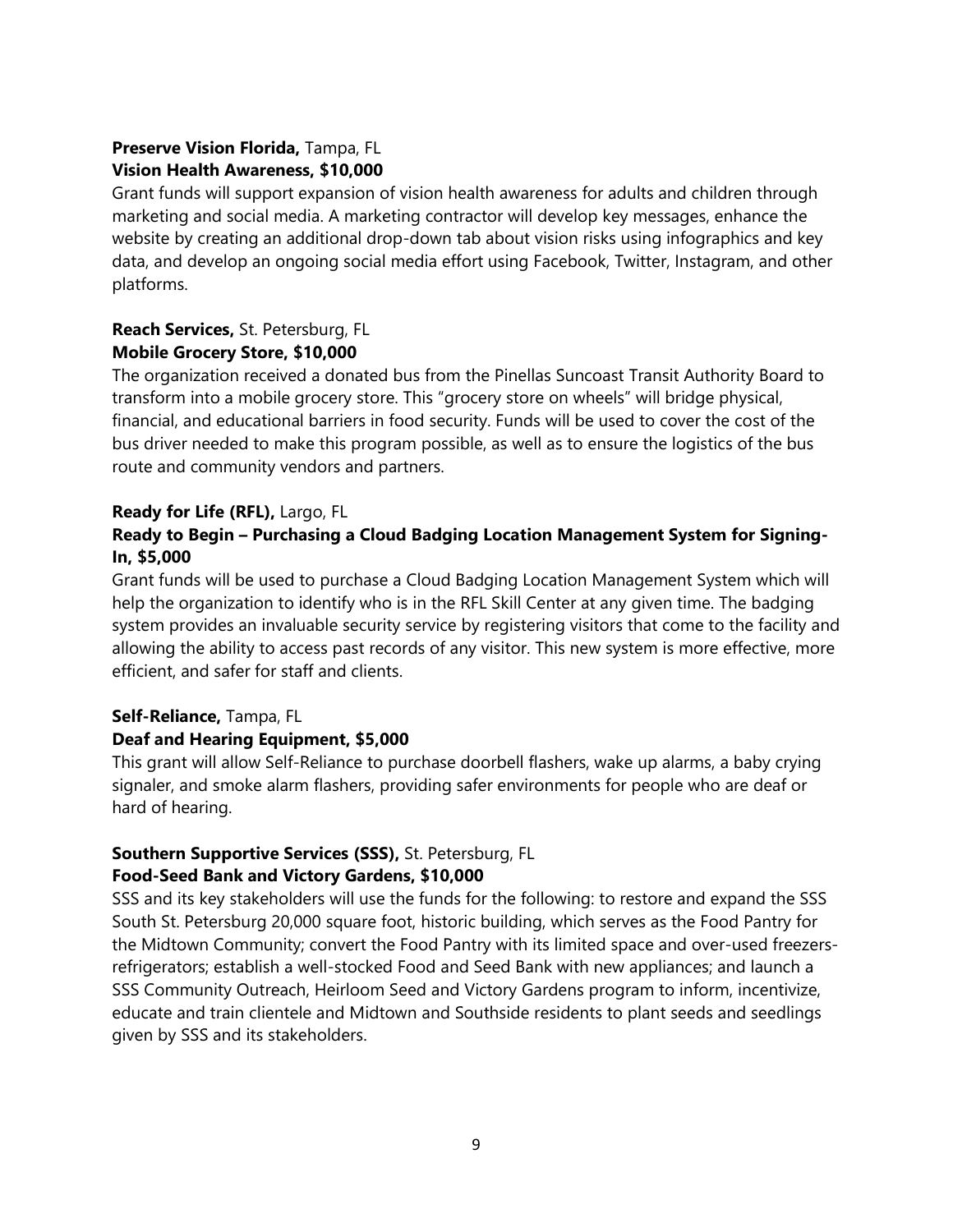# **Preserve Vision Florida,** Tampa, FL **Vision Health Awareness, \$10,000**

Grant funds will support expansion of vision health awareness for adults and children through marketing and social media. A marketing contractor will develop key messages, enhance the website by creating an additional drop-down tab about vision risks using infographics and key data, and develop an ongoing social media effort using Facebook, Twitter, Instagram, and other platforms.

### **Reach Services,** St. Petersburg, FL **Mobile Grocery Store, \$10,000**

The organization received a donated bus from the Pinellas Suncoast Transit Authority Board to transform into a mobile grocery store. This "grocery store on wheels" will bridge physical, financial, and educational barriers in food security. Funds will be used to cover the cost of the bus driver needed to make this program possible, as well as to ensure the logistics of the bus route and community vendors and partners.

# **Ready for Life (RFL),** Largo, FL

# **Ready to Begin – Purchasing a Cloud Badging Location Management System for Signing-In, \$5,000**

Grant funds will be used to purchase a Cloud Badging Location Management System which will help the organization to identify who is in the RFL Skill Center at any given time. The badging system provides an invaluable security service by registering visitors that come to the facility and allowing the ability to access past records of any visitor. This new system is more effective, more efficient, and safer for staff and clients.

# **Self-Reliance,** Tampa, FL

# **Deaf and Hearing Equipment, \$5,000**

This grant will allow Self-Reliance to purchase doorbell flashers, wake up alarms, a baby crying signaler, and smoke alarm flashers, providing safer environments for people who are deaf or hard of hearing.

# **Southern Supportive Services (SSS),** St. Petersburg, FL

# **Food-Seed Bank and Victory Gardens, \$10,000**

SSS and its key stakeholders will use the funds for the following: to restore and expand the SSS South St. Petersburg 20,000 square foot, historic building, which serves as the Food Pantry for the Midtown Community; convert the Food Pantry with its limited space and over-used freezersrefrigerators; establish a well-stocked Food and Seed Bank with new appliances; and launch a SSS Community Outreach, Heirloom Seed and Victory Gardens program to inform, incentivize, educate and train clientele and Midtown and Southside residents to plant seeds and seedlings given by SSS and its stakeholders.